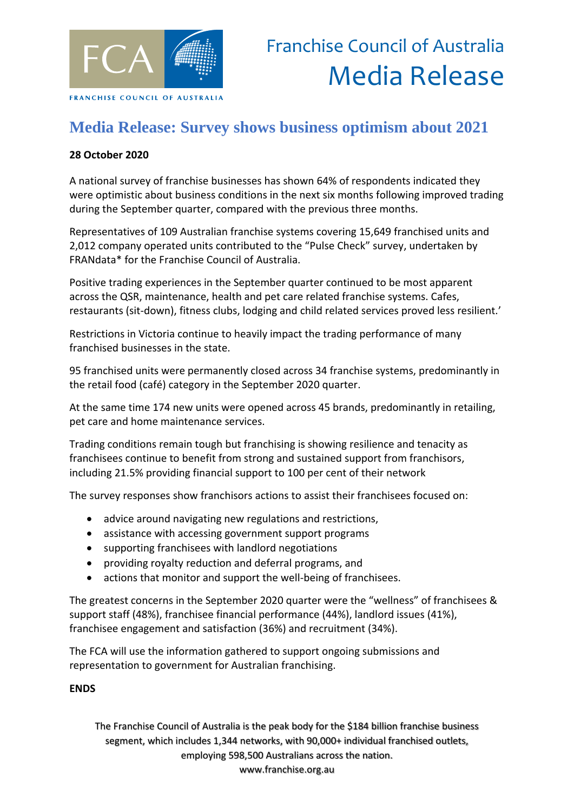

## **Media Release: Survey shows business optimism about 2021**

## **28 October 2020**

A national survey of franchise businesses has shown 64% of respondents indicated they were optimistic about business conditions in the next six months following improved trading during the September quarter, compared with the previous three months.

Representatives of 109 Australian franchise systems covering 15,649 franchised units and 2,012 company operated units contributed to the "Pulse Check" survey, undertaken by FRANdata\* for the Franchise Council of Australia.

Positive trading experiences in the September quarter continued to be most apparent across the QSR, maintenance, health and pet care related franchise systems. Cafes, restaurants (sit-down), fitness clubs, lodging and child related services proved less resilient.'

Restrictions in Victoria continue to heavily impact the trading performance of many franchised businesses in the state.

95 franchised units were permanently closed across 34 franchise systems, predominantly in the retail food (café) category in the September 2020 quarter.

At the same time 174 new units were opened across 45 brands, predominantly in retailing, pet care and home maintenance services.

Trading conditions remain tough but franchising is showing resilience and tenacity as franchisees continue to benefit from strong and sustained support from franchisors, including 21.5% providing financial support to 100 per cent of their network

The survey responses show franchisors actions to assist their franchisees focused on:

- advice around navigating new regulations and restrictions,
- assistance with accessing government support programs
- supporting franchisees with landlord negotiations
- providing royalty reduction and deferral programs, and
- actions that monitor and support the well-being of franchisees.

The greatest concerns in the September 2020 quarter were the "wellness" of franchisees & support staff (48%), franchisee financial performance (44%), landlord issues (41%), franchisee engagement and satisfaction (36%) and recruitment (34%).

The FCA will use the information gathered to support ongoing submissions and representation to government for Australian franchising.

## **ENDS**

The Franchise Council of Australia is the peak body for the \$184 billion franchise business segment, which includes 1,344 networks, with 90,000+ individual franchised outlets, employing 598,500 Australians across the nation. www.franchise.org.au